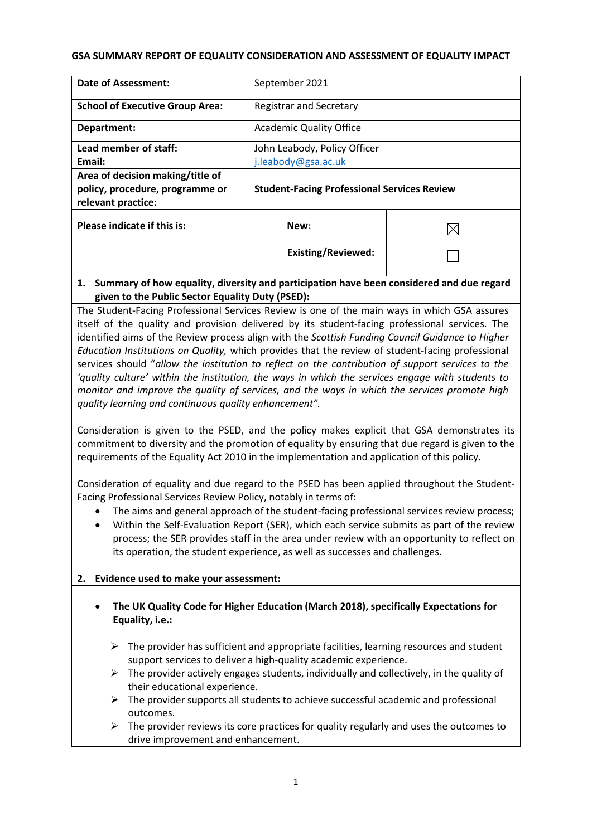#### **GSA SUMMARY REPORT OF EQUALITY CONSIDERATION AND ASSESSMENT OF EQUALITY IMPACT**

| Date of Assessment:                    | September 2021                                     |  |
|----------------------------------------|----------------------------------------------------|--|
| <b>School of Executive Group Area:</b> | Registrar and Secretary                            |  |
| Department:                            | <b>Academic Quality Office</b>                     |  |
| Lead member of staff:                  | John Leabody, Policy Officer                       |  |
| Email:                                 | j.leabody@gsa.ac.uk                                |  |
| Area of decision making/title of       |                                                    |  |
| policy, procedure, programme or        | <b>Student-Facing Professional Services Review</b> |  |
| relevant practice:                     |                                                    |  |
| Please indicate if this is:            | New:                                               |  |
|                                        | <b>Existing/Reviewed:</b>                          |  |

## **1. Summary of how equality, diversity and participation have been considered and due regard given to the Public Sector Equality Duty (PSED):**

The Student-Facing Professional Services Review is one of the main ways in which GSA assures itself of the quality and provision delivered by its student-facing professional services. The identified aims of the Review process align with the *Scottish Funding Council Guidance to Higher Education Institutions on Quality,* which provides that the review of student-facing professional services should "*allow the institution to reflect on the contribution of support services to the 'quality culture' within the institution, the ways in which the services engage with students to monitor and improve the quality of services, and the ways in which the services promote high quality learning and continuous quality enhancement".*

Consideration is given to the PSED, and the policy makes explicit that GSA demonstrates its commitment to diversity and the promotion of equality by ensuring that due regard is given to the requirements of the Equality Act 2010 in the implementation and application of this policy.

Consideration of equality and due regard to the PSED has been applied throughout the Student-Facing Professional Services Review Policy, notably in terms of:

- The aims and general approach of the student-facing professional services review process;
- Within the Self-Evaluation Report (SER), which each service submits as part of the review process; the SER provides staff in the area under review with an opportunity to reflect on its operation, the student experience, as well as successes and challenges.

## **2. Evidence used to make your assessment:**

- **The UK Quality Code for Higher Education (March 2018), specifically Expectations for Equality, i.e.:**
	- $\triangleright$  The provider has sufficient and appropriate facilities, learning resources and student support services to deliver a high-quality academic experience.
	- $\triangleright$  The provider actively engages students, individually and collectively, in the quality of their educational experience.
	- $\triangleright$  The provider supports all students to achieve successful academic and professional outcomes.
	- $\triangleright$  The provider reviews its core practices for quality regularly and uses the outcomes to drive improvement and enhancement.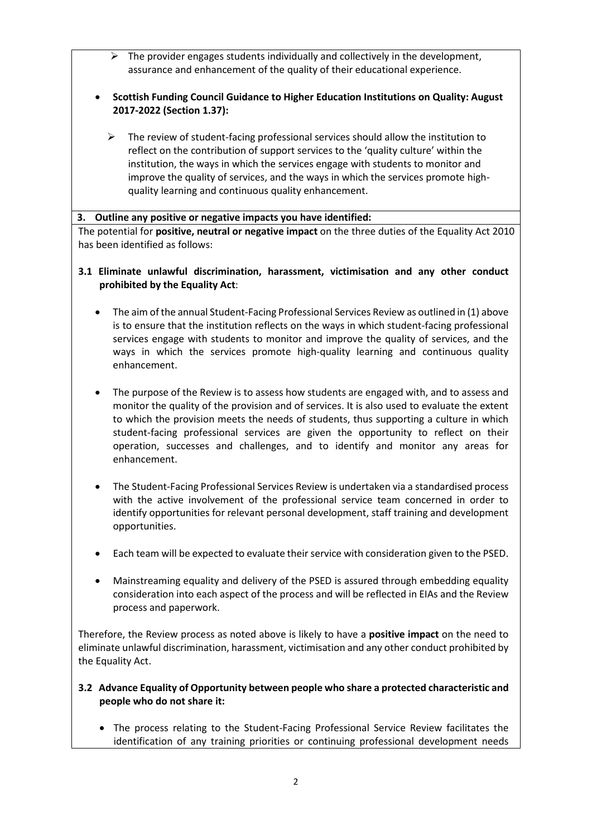- $\triangleright$  The provider engages students individually and collectively in the development, assurance and enhancement of the quality of their educational experience.
- **Scottish Funding Council Guidance to Higher Education Institutions on Quality: August 2017-2022 (Section 1.37):**
	- $\triangleright$  The review of student-facing professional services should allow the institution to reflect on the contribution of support services to the 'quality culture' within the institution, the ways in which the services engage with students to monitor and improve the quality of services, and the ways in which the services promote highquality learning and continuous quality enhancement.

## **3. Outline any positive or negative impacts you have identified:**

The potential for **positive, neutral or negative impact** on the three duties of the Equality Act 2010 has been identified as follows:

# **3.1 Eliminate unlawful discrimination, harassment, victimisation and any other conduct prohibited by the Equality Act**:

- The aim of the annual Student-Facing Professional Services Review as outlined in (1) above is to ensure that the institution reflects on the ways in which student-facing professional services engage with students to monitor and improve the quality of services, and the ways in which the services promote high-quality learning and continuous quality enhancement.
- The purpose of the Review is to assess how students are engaged with, and to assess and monitor the quality of the provision and of services. It is also used to evaluate the extent to which the provision meets the needs of students, thus supporting a culture in which student-facing professional services are given the opportunity to reflect on their operation, successes and challenges, and to identify and monitor any areas for enhancement.
- The Student-Facing Professional Services Review is undertaken via a standardised process with the active involvement of the professional service team concerned in order to identify opportunities for relevant personal development, staff training and development opportunities.
- Each team will be expected to evaluate their service with consideration given to the PSED.
- Mainstreaming equality and delivery of the PSED is assured through embedding equality consideration into each aspect of the process and will be reflected in EIAs and the Review process and paperwork.

Therefore, the Review process as noted above is likely to have a **positive impact** on the need to eliminate unlawful discrimination, harassment, victimisation and any other conduct prohibited by the Equality Act.

## **3.2 Advance Equality of Opportunity between people who share a protected characteristic and people who do not share it:**

• The process relating to the Student-Facing Professional Service Review facilitates the identification of any training priorities or continuing professional development needs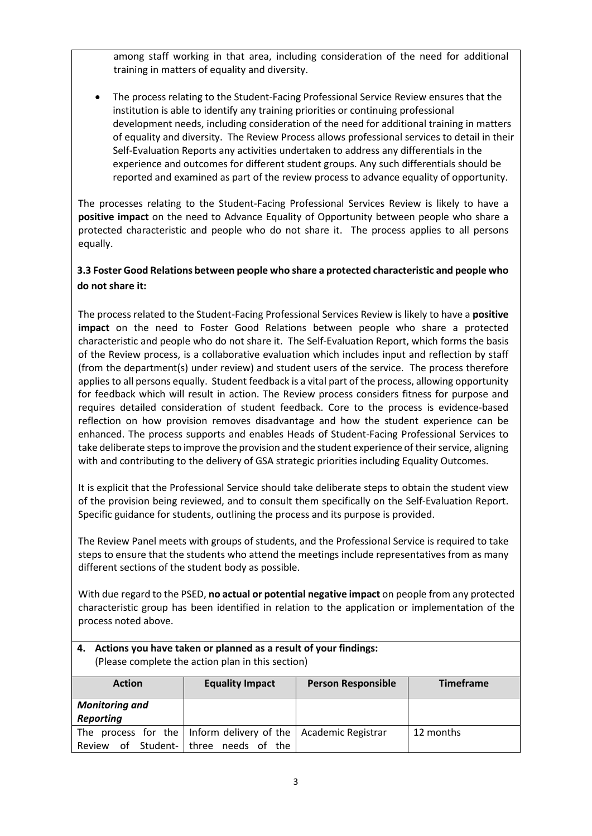among staff working in that area, including consideration of the need for additional training in matters of equality and diversity.

• The process relating to the Student-Facing Professional Service Review ensures that the institution is able to identify any training priorities or continuing professional development needs, including consideration of the need for additional training in matters of equality and diversity. The Review Process allows professional services to detail in their Self-Evaluation Reports any activities undertaken to address any differentials in the experience and outcomes for different student groups. Any such differentials should be reported and examined as part of the review process to advance equality of opportunity.

The processes relating to the Student-Facing Professional Services Review is likely to have a **positive impact** on the need to Advance Equality of Opportunity between people who share a protected characteristic and people who do not share it. The process applies to all persons equally.

# **3.3 Foster Good Relations between people who share a protected characteristic and people who do not share it:**

The process related to the Student-Facing Professional Services Review is likely to have a **positive impact** on the need to Foster Good Relations between people who share a protected characteristic and people who do not share it. The Self-Evaluation Report, which forms the basis of the Review process, is a collaborative evaluation which includes input and reflection by staff (from the department(s) under review) and student users of the service. The process therefore applies to all persons equally. Student feedback is a vital part of the process, allowing opportunity for feedback which will result in action. The Review process considers fitness for purpose and requires detailed consideration of student feedback. Core to the process is evidence-based reflection on how provision removes disadvantage and how the student experience can be enhanced. The process supports and enables Heads of Student-Facing Professional Services to take deliberate steps to improve the provision and the student experience of their service, aligning with and contributing to the delivery of GSA strategic priorities including Equality Outcomes.

It is explicit that the Professional Service should take deliberate steps to obtain the student view of the provision being reviewed, and to consult them specifically on the Self-Evaluation Report. Specific guidance for students, outlining the process and its purpose is provided.

The Review Panel meets with groups of students, and the Professional Service is required to take steps to ensure that the students who attend the meetings include representatives from as many different sections of the student body as possible.

With due regard to the PSED, **no actual or potential negative impact** on people from any protected characteristic group has been identified in relation to the application or implementation of the process noted above.

## **4. Actions you have taken or planned as a result of your findings:** (Please complete the action plan in this section)

| <b>Action</b>                             | <b>Equality Impact</b>                                                                                | <b>Person Responsible</b> | <b>Timeframe</b> |
|-------------------------------------------|-------------------------------------------------------------------------------------------------------|---------------------------|------------------|
| <b>Monitoring and</b><br><b>Reporting</b> |                                                                                                       |                           |                  |
| Review                                    | The process for the   Inform delivery of the   Academic Registrar<br>of Student-   three needs of the |                           | 12 months        |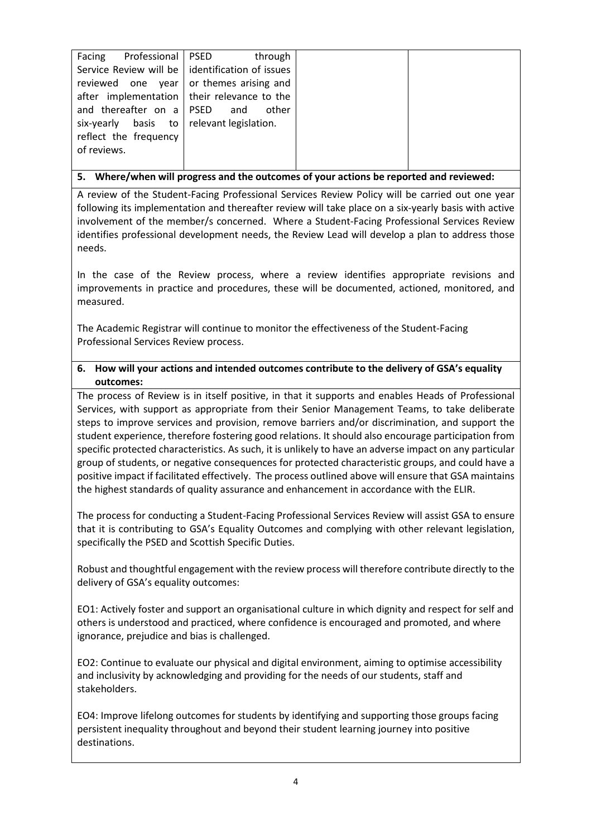| Professional   PSED<br>Facing             | through                                             |
|-------------------------------------------|-----------------------------------------------------|
|                                           | Service Review will be   identification of issues   |
|                                           | reviewed one year or themes arising and             |
|                                           | after implementation $\vert$ their relevance to the |
| and thereafter on $a \mid PSED$ and       | other                                               |
| six-yearly basis to relevant legislation. |                                                     |
| reflect the frequency                     |                                                     |
| of reviews.                               |                                                     |
|                                           |                                                     |

## **5. Where/when will progress and the outcomes of your actions be reported and reviewed:**

A review of the Student-Facing Professional Services Review Policy will be carried out one year following its implementation and thereafter review will take place on a six-yearly basis with active involvement of the member/s concerned. Where a Student-Facing Professional Services Review identifies professional development needs, the Review Lead will develop a plan to address those needs.

In the case of the Review process, where a review identifies appropriate revisions and improvements in practice and procedures, these will be documented, actioned, monitored, and measured.

The Academic Registrar will continue to monitor the effectiveness of the Student-Facing Professional Services Review process.

## **6. How will your actions and intended outcomes contribute to the delivery of GSA's equality outcomes:**

The process of Review is in itself positive, in that it supports and enables Heads of Professional Services, with support as appropriate from their Senior Management Teams, to take deliberate steps to improve services and provision, remove barriers and/or discrimination, and support the student experience, therefore fostering good relations. It should also encourage participation from specific protected characteristics. As such, it is unlikely to have an adverse impact on any particular group of students, or negative consequences for protected characteristic groups, and could have a positive impact if facilitated effectively. The process outlined above will ensure that GSA maintains the highest standards of quality assurance and enhancement in accordance with the ELIR.

The process for conducting a Student-Facing Professional Services Review will assist GSA to ensure that it is contributing to GSA's Equality Outcomes and complying with other relevant legislation, specifically the PSED and Scottish Specific Duties.

Robust and thoughtful engagement with the review process will therefore contribute directly to the delivery of GSA's equality outcomes:

EO1: Actively foster and support an organisational culture in which dignity and respect for self and others is understood and practiced, where confidence is encouraged and promoted, and where ignorance, prejudice and bias is challenged.

EO2: Continue to evaluate our physical and digital environment, aiming to optimise accessibility and inclusivity by acknowledging and providing for the needs of our students, staff and stakeholders.

EO4: Improve lifelong outcomes for students by identifying and supporting those groups facing persistent inequality throughout and beyond their student learning journey into positive destinations.